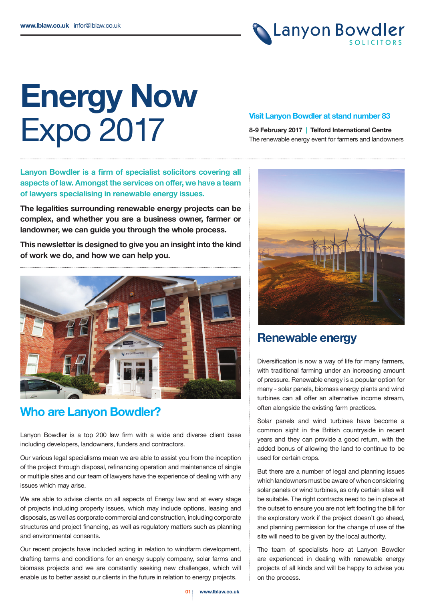

# **Energy Now** Expo 2017

### **Visit Lanyon Bowdler at stand number 83**

**8-9 February 2017 | Telford International Centre** The renewable energy event for farmers and landowners

**Lanyon Bowdler is a firm of specialist solicitors covering all aspects of law. Amongst the services on offer, we have a team of lawyers specialising in renewable energy issues.**

**The legalities surrounding renewable energy projects can be complex, and whether you are a business owner, farmer or landowner, we can guide you through the whole process.**

**This newsletter is designed to give you an insight into the kind of work we do, and how we can help you.**



## **Who are Lanyon Bowdler?**

Lanyon Bowdler is a top 200 law firm with a wide and diverse client base including developers, landowners, funders and contractors.

Our various legal specialisms mean we are able to assist you from the inception of the project through disposal, refinancing operation and maintenance of single or multiple sites and our team of lawyers have the experience of dealing with any issues which may arise.

We are able to advise clients on all aspects of Energy law and at every stage of projects including property issues, which may include options, leasing and disposals, as well as corporate commercial and construction, including corporate structures and project financing, as well as regulatory matters such as planning and environmental consents.

Our recent projects have included acting in relation to windfarm development, drafting terms and conditions for an energy supply company, solar farms and biomass projects and we are constantly seeking new challenges, which will enable us to better assist our clients in the future in relation to energy projects.



### **Renewable energy**

Diversification is now a way of life for many farmers, with traditional farming under an increasing amount of pressure. Renewable energy is a popular option for many - solar panels, biomass energy plants and wind turbines can all offer an alternative income stream, often alongside the existing farm practices.

Solar panels and wind turbines have become a common sight in the British countryside in recent years and they can provide a good return, with the added bonus of allowing the land to continue to be used for certain crops.

But there are a number of legal and planning issues which landowners must be aware of when considering solar panels or wind turbines, as only certain sites will be suitable. The right contracts need to be in place at the outset to ensure you are not left footing the bill for the exploratory work if the project doesn't go ahead, and planning permission for the change of use of the site will need to be given by the local authority.

The team of specialists here at Lanyon Bowdler are experienced in dealing with renewable energy projects of all kinds and will be happy to advise you on the process.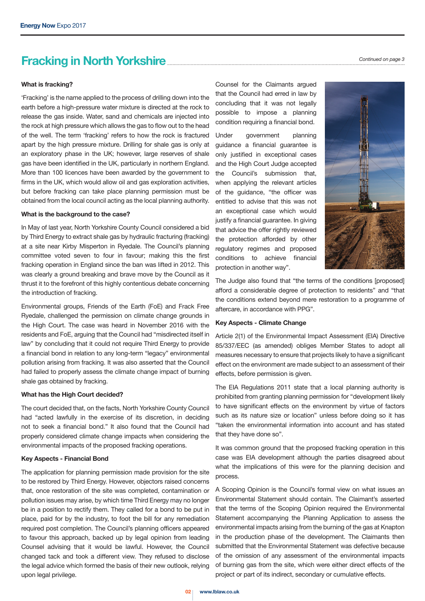# **Fracking in North Yorkshire**

### **What is fracking?**

'Fracking' is the name applied to the process of drilling down into the earth before a high-pressure water mixture is directed at the rock to release the gas inside. Water, sand and chemicals are injected into the rock at high pressure which allows the gas to flow out to the head of the well. The term 'fracking' refers to how the rock is fractured apart by the high pressure mixture. Drilling for shale gas is only at an exploratory phase in the UK; however, large reserves of shale gas have been identified in the UK, particularly in northern England. More than 100 licences have been awarded by the government to firms in the UK, which would allow oil and gas exploration activities, but before fracking can take place planning permission must be obtained from the local council acting as the local planning authority.

### **What is the background to the case?**

In May of last year, North Yorkshire County Council considered a bid by Third Energy to extract shale gas by hydraulic fracturing (fracking) at a site near Kirby Misperton in Ryedale. The Council's planning committee voted seven to four in favour; making this the first fracking operation in England since the ban was lifted in 2012. This was clearly a ground breaking and brave move by the Council as it thrust it to the forefront of this highly contentious debate concerning the introduction of fracking.

Environmental groups, Friends of the Earth (FoE) and Frack Free Ryedale, challenged the permission on climate change grounds in the High Court. The case was heard in November 2016 with the residents and FoE, arguing that the Council had "misdirected itself in law" by concluding that it could not require Third Energy to provide a financial bond in relation to any long-term "legacy" environmental pollution arising from fracking. It was also asserted that the Council had failed to properly assess the climate change impact of burning shale gas obtained by fracking.

### **What has the High Court decided?**

The court decided that, on the facts, North Yorkshire County Council had "acted lawfully in the exercise of its discretion, in deciding not to seek a financial bond." It also found that the Council had properly considered climate change impacts when considering the environmental impacts of the proposed fracking operations.

### **Key Aspects - Financial Bond**

The application for planning permission made provision for the site to be restored by Third Energy. However, objectors raised concerns that, once restoration of the site was completed, contamination or pollution issues may arise, by which time Third Energy may no longer be in a position to rectify them. They called for a bond to be put in place, paid for by the industry, to foot the bill for any remediation required post completion. The Council's planning officers appeared to favour this approach, backed up by legal opinion from leading Counsel advising that it would be lawful. However, the Council changed tack and took a different view. They refused to disclose the legal advice which formed the basis of their new outlook, relying upon legal privilege.

Counsel for the Claimants argued that the Council had erred in law by concluding that it was not legally possible to impose a planning condition requiring a financial bond.

Under government planning guidance a financial guarantee is only justified in exceptional cases and the High Court Judge accepted the Council's submission that, when applying the relevant articles of the guidance, "the officer was entitled to advise that this was not an exceptional case which would justify a financial guarantee. In giving that advice the offer rightly reviewed the protection afforded by other regulatory regimes and proposed conditions to achieve financial protection in another way".



The Judge also found that "the terms of the conditions [proposed] afford a considerable degree of protection to residents" and "that the conditions extend beyond mere restoration to a programme of aftercare, in accordance with PPG".

### **Key Aspects - Climate Change**

Article 2(1) of the Environmental Impact Assessment (EIA) Directive 85/337/EEC (as amended) obliges Member States to adopt all measures necessary to ensure that projects likely to have a significant effect on the environment are made subject to an assessment of their effects, before permission is given.

The EIA Regulations 2011 state that a local planning authority is prohibited from granting planning permission for "development likely to have significant effects on the environment by virtue of factors such as its nature size or location" unless before doing so it has "taken the environmental information into account and has stated that they have done so".

It was common ground that the proposed fracking operation in this case was EIA development although the parties disagreed about what the implications of this were for the planning decision and process.

A Scoping Opinion is the Council's formal view on what issues an Environmental Statement should contain. The Claimant's asserted that the terms of the Scoping Opinion required the Environmental Statement accompanying the Planning Application to assess the environmental impacts arising from the burning of the gas at Knapton in the production phase of the development. The Claimants then submitted that the Environmental Statement was defective because of the omission of any assessment of the environmental impacts of burning gas from the site, which were either direct effects of the project or part of its indirect, secondary or cumulative effects.

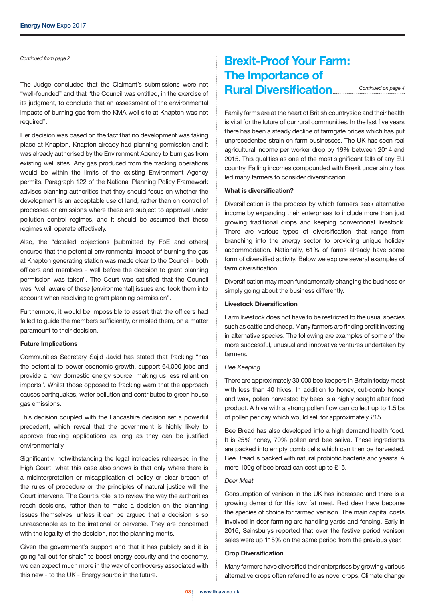#### *Continued from page 2*

The Judge concluded that the Claimant's submissions were not "well-founded" and that "the Council was entitled, in the exercise of its judgment, to conclude that an assessment of the environmental impacts of burning gas from the KMA well site at Knapton was not required".

Her decision was based on the fact that no development was taking place at Knapton, Knapton already had planning permission and it was already authorised by the Environment Agency to burn gas from existing well sites. Any gas produced from the fracking operations would be within the limits of the existing Environment Agency permits. Paragraph 122 of the National Planning Policy Framework advises planning authorities that they should focus on whether the development is an acceptable use of land, rather than on control of processes or emissions where these are subject to approval under pollution control regimes, and it should be assumed that those regimes will operate effectively.

Also, the "detailed objections [submitted by FoE and others] ensured that the potential environmental impact of burning the gas at Knapton generating station was made clear to the Council - both officers and members - well before the decision to grant planning permission was taken". The Court was satisfied that the Council was "well aware of these [environmental] issues and took them into account when resolving to grant planning permission".

Furthermore, it would be impossible to assert that the officers had failed to guide the members sufficiently, or misled them, on a matter paramount to their decision.

### **Future Implications**

Communities Secretary Sajid Javid has stated that fracking "has the potential to power economic growth, support 64,000 jobs and provide a new domestic energy source, making us less reliant on imports". Whilst those opposed to fracking warn that the approach causes earthquakes, water pollution and contributes to green house gas emissions.

This decision coupled with the Lancashire decision set a powerful precedent, which reveal that the government is highly likely to approve fracking applications as long as they can be justified environmentally.

Significantly, notwithstanding the legal intricacies rehearsed in the High Court, what this case also shows is that only where there is a misinterpretation or misapplication of policy or clear breach of the rules of procedure or the principles of natural justice will the Court intervene. The Court's role is to review the way the authorities reach decisions, rather than to make a decision on the planning issues themselves, unless it can be argued that a decision is so unreasonable as to be irrational or perverse. They are concerned with the legality of the decision, not the planning merits.

Given the government's support and that it has publicly said it is going "all out for shale" to boost energy security and the economy, we can expect much more in the way of controversy associated with this new - to the UK - Energy source in the future.

## **Brexit-Proof Your Farm: The Importance of Rural Diversification**

*Continued on page 4*

Family farms are at the heart of British countryside and their health is vital for the future of our rural communities. In the last five years there has been a steady decline of farmgate prices which has put unprecedented strain on farm businesses. The UK has seen real agricultural income per worker drop by 19% between 2014 and 2015. This qualifies as one of the most significant falls of any EU country. Falling incomes compounded with Brexit uncertainty has led many farmers to consider diversification.

### **What is diversification?**

Diversification is the process by which farmers seek alternative income by expanding their enterprises to include more than just growing traditional crops and keeping conventional livestock. There are various types of diversification that range from branching into the energy sector to providing unique holiday accommodation. Nationally, 61% of farms already have some form of diversified activity. Below we explore several examples of farm diversification.

Diversification may mean fundamentally changing the business or simply going about the business differently.

### **Livestock Diversification**

Farm livestock does not have to be restricted to the usual species such as cattle and sheep. Many farmers are finding profit investing in alternative species. The following are examples of some of the more successful, unusual and innovative ventures undertaken by farmers.

### *Bee Keeping*

There are approximately 30,000 bee keepers in Britain today most with less than 40 hives. In addition to honey, cut-comb honey and wax, pollen harvested by bees is a highly sought after food product. A hive with a strong pollen flow can collect up to 1.5lbs of pollen per day which would sell for approximately £15.

Bee Bread has also developed into a high demand health food. It is 25% honey, 70% pollen and bee saliva. These ingredients are packed into empty comb cells which can then be harvested. Bee Bread is packed with natural probiotic bacteria and yeasts. A mere 100g of bee bread can cost up to £15.

### *Deer Meat*

Consumption of venison in the UK has increased and there is a growing demand for this low fat meat. Red deer have become the species of choice for farmed venison. The main capital costs involved in deer farming are handling yards and fencing. Early in 2016, Sainsburys reported that over the festive period venison sales were up 115% on the same period from the previous year.

### **Crop Diversification**

Many farmers have diversified their enterprises by growing various alternative crops often referred to as novel crops. Climate change